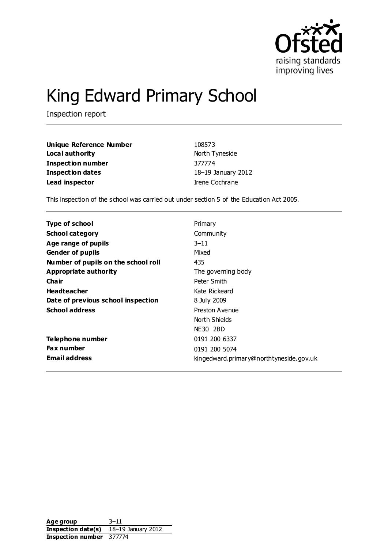

# King Edward Primary School

Inspection report

| <b>Unique Reference Number</b> | 108573             |
|--------------------------------|--------------------|
| Local authority                | North Tyneside     |
| Inspection number              | 377774             |
| Inspection dates               | 18-19 January 2012 |
| Lead inspector                 | Irene Cochrane     |

This inspection of the school was carried out under section 5 of the Education Act 2005.

| Type of school                      | Primary                                 |
|-------------------------------------|-----------------------------------------|
| <b>School category</b>              | Community                               |
| Age range of pupils                 | $3 - 11$                                |
| <b>Gender of pupils</b>             | Mixed                                   |
| Number of pupils on the school roll | 435                                     |
| Appropriate authority               | The governing body                      |
| Cha ir                              | Peter Smith                             |
| <b>Headteacher</b>                  | Kate Rickeard                           |
| Date of previous school inspection  | 8 July 2009                             |
| <b>School address</b>               | Preston Avenue                          |
|                                     | North Shields                           |
|                                     | NE30 2BD                                |
| Telephone number                    | 0191 200 6337                           |
| <b>Fax number</b>                   | 0191 200 5074                           |
| <b>Email address</b>                | kingedward.primary@northtyneside.gov.uk |

**Age group** 3–11 **Inspection date(s)** 18–19 January 2012 **Inspection number** 377774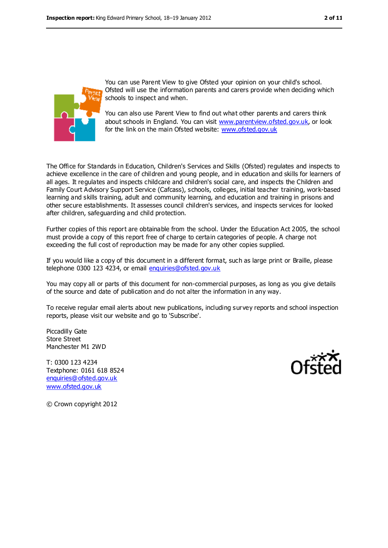

You can use Parent View to give Ofsted your opinion on your child's school. Ofsted will use the information parents and carers provide when deciding which schools to inspect and when.

You can also use Parent View to find out what other parents and carers think about schools in England. You can visit [www.parentview.ofsted.gov.uk,](../AppData/Local/Microsoft/Windows/Temporary%20Internet%20Files/Low/Content.IE5/URGMDZHT/www.parentview.ofsted.gov.uk) or look for the link on the main Ofsted website: [www.ofsted.gov.uk](../AppData/Local/Microsoft/Windows/Temporary%20Internet%20Files/Low/Content.IE5/URGMDZHT/www.ofsted.gov.uk)

The Office for Standards in Education, Children's Services and Skills (Ofsted) regulates and inspects to achieve excellence in the care of children and young people, and in education and skills for learners of all ages. It regulates and inspects childcare and children's social care, and inspects the Children and Family Court Advisory Support Service (Cafcass), schools, colleges, initial teacher training, work-based learning and skills training, adult and community learning, and education and training in prisons and other secure establishments. It assesses council children's services, and inspects services for looked after children, safeguarding and child protection.

Further copies of this report are obtainable from the school. Under the Education Act 2005, the school must provide a copy of this report free of charge to certain categories of people. A charge not exceeding the full cost of reproduction may be made for any other copies supplied.

If you would like a copy of this document in a different format, such as large print or Braille, please telephone 0300 123 4234, or email [enquiries@ofsted.gov.uk](mailto:enquiries@ofsted.gov.uk)

You may copy all or parts of this document for non-commercial purposes, as long as you give details of the source and date of publication and do not alter the information in any way.

To receive regular email alerts about new publications, including survey reports and school inspection reports, please visit our website and go to 'Subscribe'.

Piccadilly Gate Store Street Manchester M1 2WD

T: 0300 123 4234 Textphone: 0161 618 8524 [enquiries@ofsted.gov.uk](mailto:enquiries@ofsted.gov.uk) [www.ofsted.gov.uk](http://www.ofsted.gov.uk/)



© Crown copyright 2012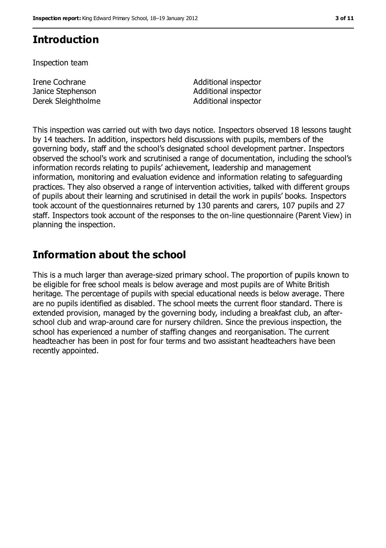# **Introduction**

Inspection team

Irene Cochrane Janice Stephenson Derek Sleightholme **Additional** inspector

Additional inspector Additional inspector

This inspection was carried out with two days notice. Inspectors observed 18 lessons taught by 14 teachers. In addition, inspectors held discussions with pupils, members of the governing body, staff and the school's designated school development partner. Inspectors observed the school's work and scrutinised a range of documentation, including the school's information records relating to pupils' achievement, leadership and management information, monitoring and evaluation evidence and information relating to safeguarding practices. They also observed a range of intervention activities, talked with different groups of pupils about their learning and scrutinised in detail the work in pupils' books. Inspectors took account of the questionnaires returned by 130 parents and carers, 107 pupils and 27 staff. Inspectors took account of the responses to the on-line questionnaire (Parent View) in planning the inspection.

# **Information about the school**

This is a much larger than average-sized primary school. The proportion of pupils known to be eligible for free school meals is below average and most pupils are of White British heritage. The percentage of pupils with special educational needs is below average. There are no pupils identified as disabled. The school meets the current floor standard. There is extended provision, managed by the governing body, including a breakfast club, an afterschool club and wrap-around care for nursery children. Since the previous inspection, the school has experienced a number of staffing changes and reorganisation. The current headteacher has been in post for four terms and two assistant headteachers have been recently appointed.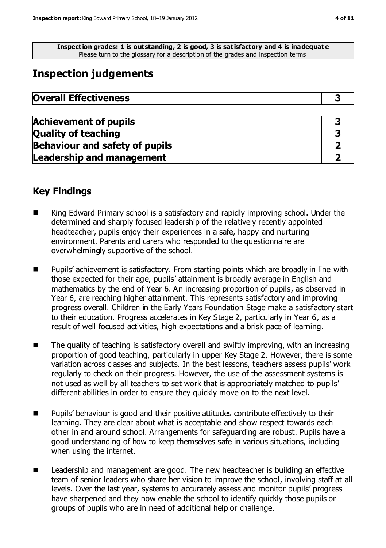**Inspection grades: 1 is outstanding, 2 is good, 3 is satisfactory and 4 is inadequat e** Please turn to the glossary for a description of the grades and inspection terms

# **Inspection judgements**

| <b>Overall Effectiveness</b> |  |
|------------------------------|--|
|------------------------------|--|

| <b>Achievement of pupils</b>          |  |
|---------------------------------------|--|
| <b>Quality of teaching</b>            |  |
| <b>Behaviour and safety of pupils</b> |  |
| <b>Leadership and management</b>      |  |

## **Key Findings**

- King Edward Primary school is a satisfactory and rapidly improving school. Under the determined and sharply focused leadership of the relatively recently appointed headteacher, pupils enjoy their experiences in a safe, happy and nurturing environment. Parents and carers who responded to the questionnaire are overwhelmingly supportive of the school.
- **Pupils'** achievement is satisfactory. From starting points which are broadly in line with those expected for their age, pupils' attainment is broadly average in English and mathematics by the end of Year 6. An increasing proportion of pupils, as observed in Year 6, are reaching higher attainment. This represents satisfactory and improving progress overall. Children in the Early Years Foundation Stage make a satisfactory start to their education. Progress accelerates in Key Stage 2, particularly in Year 6, as a result of well focused activities, high expectations and a brisk pace of learning.
- The quality of teaching is satisfactory overall and swiftly improving, with an increasing proportion of good teaching, particularly in upper Key Stage 2. However, there is some variation across classes and subjects. In the best lessons, teachers assess pupils' work regularly to check on their progress. However, the use of the assessment systems is not used as well by all teachers to set work that is appropriately matched to pupils' different abilities in order to ensure they quickly move on to the next level.
- Pupils' behaviour is good and their positive attitudes contribute effectively to their learning. They are clear about what is acceptable and show respect towards each other in and around school. Arrangements for safeguarding are robust. Pupils have a good understanding of how to keep themselves safe in various situations, including when using the internet.
- Leadership and management are good. The new headteacher is building an effective team of senior leaders who share her vision to improve the school, involving staff at all levels. Over the last year, systems to accurately assess and monitor pupils' progress have sharpened and they now enable the school to identify quickly those pupils or groups of pupils who are in need of additional help or challenge.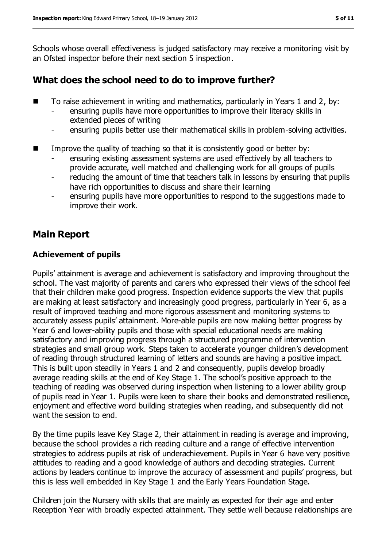Schools whose overall effectiveness is judged satisfactory may receive a monitoring visit by an Ofsted inspector before their next section 5 inspection.

# **What does the school need to do to improve further?**

- To raise achievement in writing and mathematics, particularly in Years 1 and 2, by:
	- ensuring pupils have more opportunities to improve their literacy skills in extended pieces of writing
	- ensuring pupils better use their mathematical skills in problem-solving activities.
- Improve the quality of teaching so that it is consistently good or better by:
	- ensuring existing assessment systems are used effectively by all teachers to provide accurate, well matched and challenging work for all groups of pupils
	- reducing the amount of time that teachers talk in lessons by ensuring that pupils have rich opportunities to discuss and share their learning
	- ensuring pupils have more opportunities to respond to the suggestions made to improve their work.

# **Main Report**

#### **Achievement of pupils**

Pupils' attainment is average and achievement is satisfactory and improving throughout the school. The vast majority of parents and carers who expressed their views of the school feel that their children make good progress. Inspection evidence supports the view that pupils are making at least satisfactory and increasingly good progress, particularly in Year 6, as a result of improved teaching and more rigorous assessment and monitoring systems to accurately assess pupils' attainment. More-able pupils are now making better progress by Year 6 and lower-ability pupils and those with special educational needs are making satisfactory and improving progress through a structured programme of intervention strategies and small group work. Steps taken to accelerate younger children's development of reading through structured learning of letters and sounds are having a positive impact. This is built upon steadily in Years 1 and 2 and consequently, pupils develop broadly average reading skills at the end of Key Stage 1. The school's positive approach to the teaching of reading was observed during inspection when listening to a lower ability group of pupils read in Year 1. Pupils were keen to share their books and demonstrated resilience, enjoyment and effective word building strategies when reading, and subsequently did not want the session to end.

By the time pupils leave Key Stage 2, their attainment in reading is average and improving, because the school provides a rich reading culture and a range of effective intervention strategies to address pupils at risk of underachievement. Pupils in Year 6 have very positive attitudes to reading and a good knowledge of authors and decoding strategies. Current actions by leaders continue to improve the accuracy of assessment and pupils' progress, but this is less well embedded in Key Stage 1 and the Early Years Foundation Stage.

Children join the Nursery with skills that are mainly as expected for their age and enter Reception Year with broadly expected attainment. They settle well because relationships are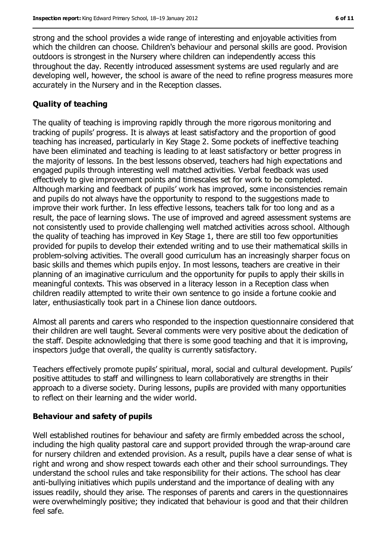strong and the school provides a wide range of interesting and enjoyable activities from which the children can choose. Children's behaviour and personal skills are good. Provision outdoors is strongest in the Nursery where children can independently access this throughout the day. Recently introduced assessment systems are used regularly and are developing well, however, the school is aware of the need to refine progress measures more accurately in the Nursery and in the Reception classes.

### **Quality of teaching**

The quality of teaching is improving rapidly through the more rigorous monitoring and tracking of pupils' progress. It is always at least satisfactory and the proportion of good teaching has increased, particularly in Key Stage 2. Some pockets of ineffective teaching have been eliminated and teaching is leading to at least satisfactory or better progress in the majority of lessons. In the best lessons observed, teachers had high expectations and engaged pupils through interesting well matched activities. Verbal feedback was used effectively to give improvement points and timescales set for work to be completed. Although marking and feedback of pupils' work has improved, some inconsistencies remain and pupils do not always have the opportunity to respond to the suggestions made to improve their work further. In less effective lessons, teachers talk for too long and as a result, the pace of learning slows. The use of improved and agreed assessment systems are not consistently used to provide challenging well matched activities across school. Although the quality of teaching has improved in Key Stage 1, there are still too few opportunities provided for pupils to develop their extended writing and to use their mathematical skills in problem-solving activities. The overall good curriculum has an increasingly sharper focus on basic skills and themes which pupils enjoy. In most lessons, teachers are creative in their planning of an imaginative curriculum and the opportunity for pupils to apply their skills in meaningful contexts. This was observed in a literacy lesson in a Reception class when children readily attempted to write their own sentence to go inside a fortune cookie and later, enthusiastically took part in a Chinese lion dance outdoors.

Almost all parents and carers who responded to the inspection questionnaire considered that their children are well taught. Several comments were very positive about the dedication of the staff. Despite acknowledging that there is some good teaching and that it is improving, inspectors judge that overall, the quality is currently satisfactory.

Teachers effectively promote pupils' spiritual, moral, social and cultural development. Pupils' positive attitudes to staff and willingness to learn collaboratively are strengths in their approach to a diverse society. During lessons, pupils are provided with many opportunities to reflect on their learning and the wider world.

#### **Behaviour and safety of pupils**

Well established routines for behaviour and safety are firmly embedded across the school, including the high quality pastoral care and support provided through the wrap-around care for nursery children and extended provision. As a result, pupils have a clear sense of what is right and wrong and show respect towards each other and their school surroundings. They understand the school rules and take responsibility for their actions. The school has clear anti-bullying initiatives which pupils understand and the importance of dealing with any issues readily, should they arise. The responses of parents and carers in the questionnaires were overwhelmingly positive; they indicated that behaviour is good and that their children feel safe.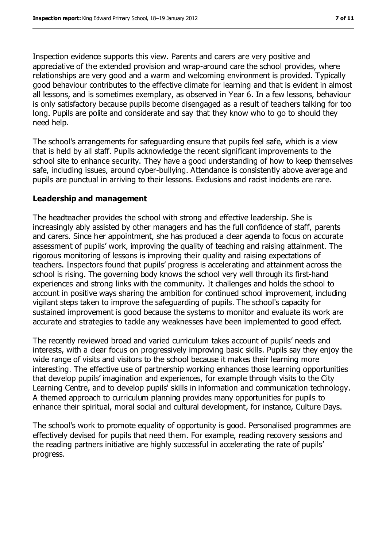Inspection evidence supports this view. Parents and carers are very positive and appreciative of the extended provision and wrap-around care the school provides, where relationships are very good and a warm and welcoming environment is provided. Typically good behaviour contributes to the effective climate for learning and that is evident in almost all lessons, and is sometimes exemplary, as observed in Year 6. In a few lessons, behaviour is only satisfactory because pupils become disengaged as a result of teachers talking for too long. Pupils are polite and considerate and say that they know who to go to should they need help.

The school's arrangements for safeguarding ensure that pupils feel safe, which is a view that is held by all staff. Pupils acknowledge the recent significant improvements to the school site to enhance security. They have a good understanding of how to keep themselves safe, including issues, around cyber-bullying. Attendance is consistently above average and pupils are punctual in arriving to their lessons. Exclusions and racist incidents are rare.

#### **Leadership and management**

The headteacher provides the school with strong and effective leadership. She is increasingly ably assisted by other managers and has the full confidence of staff, parents and carers. Since her appointment, she has produced a clear agenda to focus on accurate assessment of pupils' work, improving the quality of teaching and raising attainment. The rigorous monitoring of lessons is improving their quality and raising expectations of teachers. Inspectors found that pupils' progress is accelerating and attainment across the school is rising. The governing body knows the school very well through its first-hand experiences and strong links with the community. It challenges and holds the school to account in positive ways sharing the ambition for continued school improvement, including vigilant steps taken to improve the safeguarding of pupils. The school's capacity for sustained improvement is good because the systems to monitor and evaluate its work are accurate and strategies to tackle any weaknesses have been implemented to good effect.

The recently reviewed broad and varied curriculum takes account of pupils' needs and interests, with a clear focus on progressively improving basic skills. Pupils say they enjoy the wide range of visits and visitors to the school because it makes their learning more interesting. The effective use of partnership working enhances those learning opportunities that develop pupils' imagination and experiences, for example through visits to the City Learning Centre, and to develop pupils' skills in information and communication technology. A themed approach to curriculum planning provides many opportunities for pupils to enhance their spiritual, moral social and cultural development, for instance, Culture Days.

The school's work to promote equality of opportunity is good. Personalised programmes are effectively devised for pupils that need them. For example, reading recovery sessions and the reading partners initiative are highly successful in accelerating the rate of pupils' progress.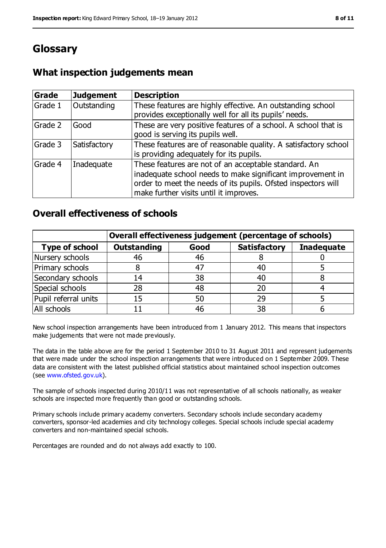# **Glossary**

# **What inspection judgements mean**

| Grade   | <b>Judgement</b> | <b>Description</b>                                                                                                                                                                                                            |
|---------|------------------|-------------------------------------------------------------------------------------------------------------------------------------------------------------------------------------------------------------------------------|
| Grade 1 | Outstanding      | These features are highly effective. An outstanding school<br>provides exceptionally well for all its pupils' needs.                                                                                                          |
| Grade 2 | Good             | These are very positive features of a school. A school that is<br>good is serving its pupils well.                                                                                                                            |
| Grade 3 | Satisfactory     | These features are of reasonable quality. A satisfactory school<br>is providing adequately for its pupils.                                                                                                                    |
| Grade 4 | Inadequate       | These features are not of an acceptable standard. An<br>inadequate school needs to make significant improvement in<br>order to meet the needs of its pupils. Ofsted inspectors will<br>make further visits until it improves. |

# **Overall effectiveness of schools**

|                       | Overall effectiveness judgement (percentage of schools) |      |                     |                   |
|-----------------------|---------------------------------------------------------|------|---------------------|-------------------|
| <b>Type of school</b> | <b>Outstanding</b>                                      | Good | <b>Satisfactory</b> | <b>Inadequate</b> |
| Nursery schools       | 46                                                      | 46   |                     |                   |
| Primary schools       |                                                         | 47   | 40                  |                   |
| Secondary schools     | 14                                                      | 38   | 40                  |                   |
| Special schools       | 28                                                      | 48   | 20                  |                   |
| Pupil referral units  | 15                                                      | 50   | 29                  |                   |
| All schools           |                                                         | 46   | 38                  |                   |

New school inspection arrangements have been introduced from 1 January 2012. This means that inspectors make judgements that were not made previously.

The data in the table above are for the period 1 September 2010 to 31 August 2011 and represent judgements that were made under the school inspection arrangements that were introduced on 1 September 2009. These data are consistent with the latest published official statistics about maintained school inspection outcomes (see [www.ofsted.gov.uk\)](../AppData/Local/Microsoft/Windows/Temporary%20Internet%20Files/Low/Content.IE5/URGMDZHT/www.ofsted.gov.uk).

The sample of schools inspected during 2010/11 was not representative of all schools nationally, as weaker schools are inspected more frequently than good or outstanding schools.

Primary schools include primary academy converters. Secondary schools include secondary academy converters, sponsor-led academies and city technology colleges. Special schools include special academy converters and non-maintained special schools.

Percentages are rounded and do not always add exactly to 100.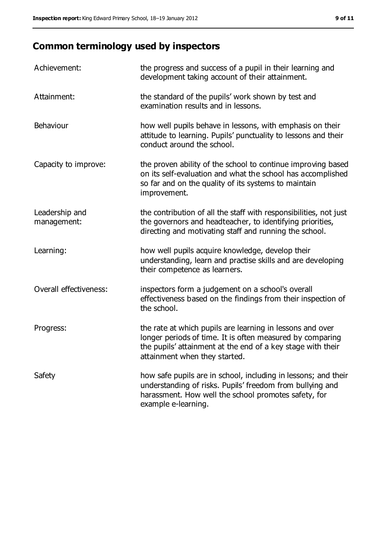# **Common terminology used by inspectors**

| Achievement:                  | the progress and success of a pupil in their learning and<br>development taking account of their attainment.                                                                                                           |
|-------------------------------|------------------------------------------------------------------------------------------------------------------------------------------------------------------------------------------------------------------------|
| Attainment:                   | the standard of the pupils' work shown by test and<br>examination results and in lessons.                                                                                                                              |
| <b>Behaviour</b>              | how well pupils behave in lessons, with emphasis on their<br>attitude to learning. Pupils' punctuality to lessons and their<br>conduct around the school.                                                              |
| Capacity to improve:          | the proven ability of the school to continue improving based<br>on its self-evaluation and what the school has accomplished<br>so far and on the quality of its systems to maintain<br>improvement.                    |
| Leadership and<br>management: | the contribution of all the staff with responsibilities, not just<br>the governors and headteacher, to identifying priorities,<br>directing and motivating staff and running the school.                               |
| Learning:                     | how well pupils acquire knowledge, develop their<br>understanding, learn and practise skills and are developing<br>their competence as learners.                                                                       |
| Overall effectiveness:        | inspectors form a judgement on a school's overall<br>effectiveness based on the findings from their inspection of<br>the school.                                                                                       |
| Progress:                     | the rate at which pupils are learning in lessons and over<br>longer periods of time. It is often measured by comparing<br>the pupils' attainment at the end of a key stage with their<br>attainment when they started. |
| Safety                        | how safe pupils are in school, including in lessons; and their<br>understanding of risks. Pupils' freedom from bullying and<br>harassment. How well the school promotes safety, for<br>example e-learning.             |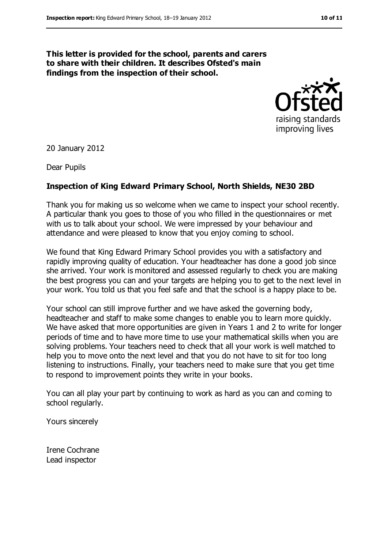#### **This letter is provided for the school, parents and carers to share with their children. It describes Ofsted's main findings from the inspection of their school.**



20 January 2012

Dear Pupils

#### **Inspection of King Edward Primary School, North Shields, NE30 2BD**

Thank you for making us so welcome when we came to inspect your school recently. A particular thank you goes to those of you who filled in the questionnaires or met with us to talk about your school. We were impressed by your behaviour and attendance and were pleased to know that you enjoy coming to school.

We found that King Edward Primary School provides you with a satisfactory and rapidly improving quality of education. Your headteacher has done a good job since she arrived. Your work is monitored and assessed regularly to check you are making the best progress you can and your targets are helping you to get to the next level in your work. You told us that you feel safe and that the school is a happy place to be.

Your school can still improve further and we have asked the governing body, headteacher and staff to make some changes to enable you to learn more quickly. We have asked that more opportunities are given in Years 1 and 2 to write for longer periods of time and to have more time to use your mathematical skills when you are solving problems. Your teachers need to check that all your work is well matched to help you to move onto the next level and that you do not have to sit for too long listening to instructions. Finally, your teachers need to make sure that you get time to respond to improvement points they write in your books.

You can all play your part by continuing to work as hard as you can and coming to school regularly.

Yours sincerely

Irene Cochrane Lead inspector